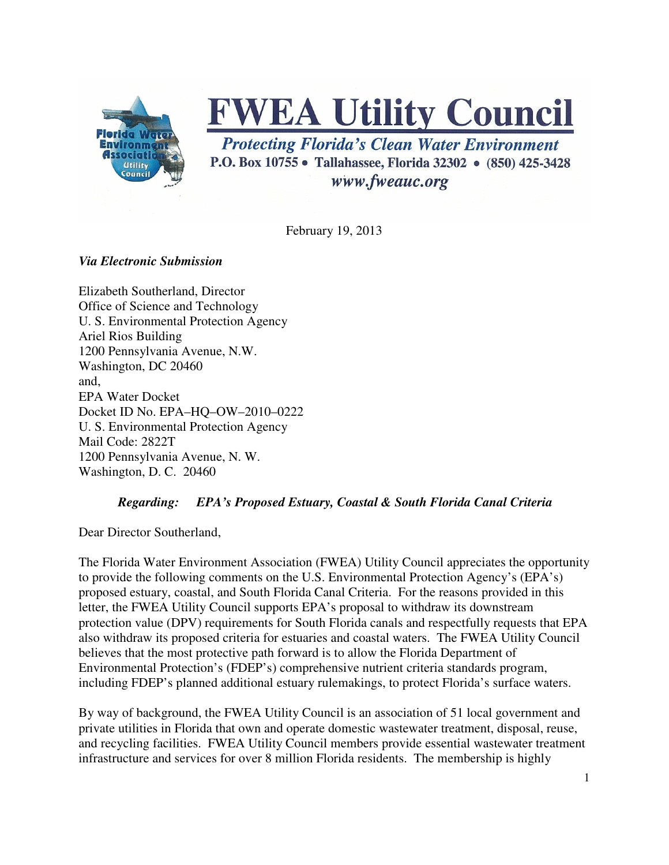

# **FWEA Utility Council**

**Protecting Florida's Clean Water Environment** P.O. Box 10755 • Tallahassee, Florida 32302 • (850) 425-3428 www.fweauc.org

February 19, 2013

### *Via Electronic Submission*

Elizabeth Southerland, Director Office of Science and Technology U. S. Environmental Protection Agency Ariel Rios Building 1200 Pennsylvania Avenue, N.W. Washington, DC 20460 and, EPA Water Docket Docket ID No. EPA–HQ–OW–2010–0222 U. S. Environmental Protection Agency Mail Code: 2822T 1200 Pennsylvania Avenue, N. W. Washington, D. C. 20460

*Regarding: EPA's Proposed Estuary, Coastal & South Florida Canal Criteria*

Dear Director Southerland,

The Florida Water Environment Association (FWEA) Utility Council appreciates the opportunity to provide the following comments on the U.S. Environmental Protection Agency's (EPA's) proposed estuary, coastal, and South Florida Canal Criteria. For the reasons provided in this letter, the FWEA Utility Council supports EPA's proposal to withdraw its downstream protection value (DPV) requirements for South Florida canals and respectfully requests that EPA also withdraw its proposed criteria for estuaries and coastal waters. The FWEA Utility Council believes that the most protective path forward is to allow the Florida Department of Environmental Protection's (FDEP's) comprehensive nutrient criteria standards program, including FDEP's planned additional estuary rulemakings, to protect Florida's surface waters.

By way of background, the FWEA Utility Council is an association of 51 local government and private utilities in Florida that own and operate domestic wastewater treatment, disposal, reuse, and recycling facilities. FWEA Utility Council members provide essential wastewater treatment infrastructure and services for over 8 million Florida residents. The membership is highly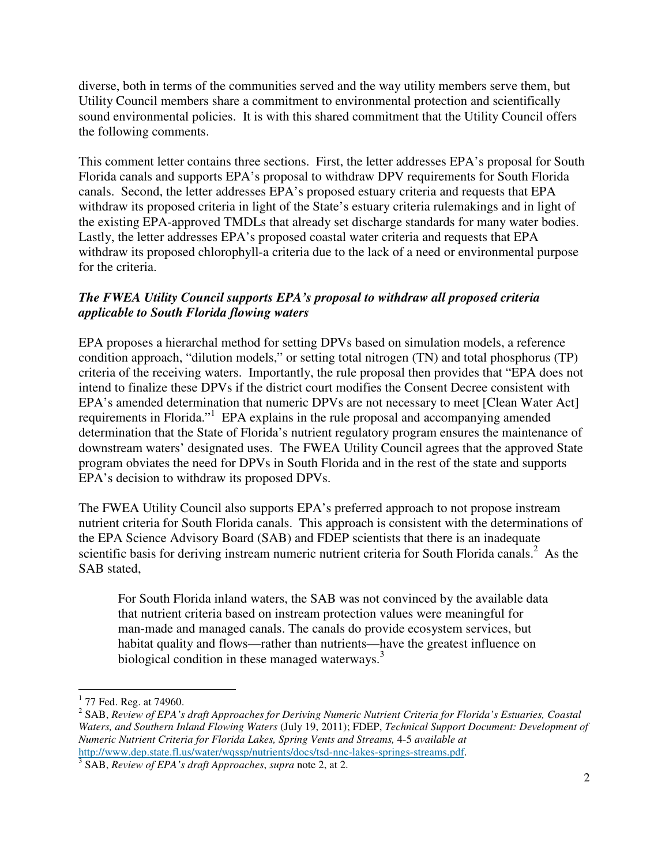diverse, both in terms of the communities served and the way utility members serve them, but Utility Council members share a commitment to environmental protection and scientifically sound environmental policies. It is with this shared commitment that the Utility Council offers the following comments.

This comment letter contains three sections. First, the letter addresses EPA's proposal for South Florida canals and supports EPA's proposal to withdraw DPV requirements for South Florida canals. Second, the letter addresses EPA's proposed estuary criteria and requests that EPA withdraw its proposed criteria in light of the State's estuary criteria rulemakings and in light of the existing EPA-approved TMDLs that already set discharge standards for many water bodies. Lastly, the letter addresses EPA's proposed coastal water criteria and requests that EPA withdraw its proposed chlorophyll-a criteria due to the lack of a need or environmental purpose for the criteria.

### *The FWEA Utility Council supports EPA's proposal to withdraw all proposed criteria applicable to South Florida flowing waters*

EPA proposes a hierarchal method for setting DPVs based on simulation models, a reference condition approach, "dilution models," or setting total nitrogen (TN) and total phosphorus (TP) criteria of the receiving waters. Importantly, the rule proposal then provides that "EPA does not intend to finalize these DPVs if the district court modifies the Consent Decree consistent with EPA's amended determination that numeric DPVs are not necessary to meet [Clean Water Act] requirements in Florida."<sup>1</sup> EPA explains in the rule proposal and accompanying amended determination that the State of Florida's nutrient regulatory program ensures the maintenance of downstream waters' designated uses. The FWEA Utility Council agrees that the approved State program obviates the need for DPVs in South Florida and in the rest of the state and supports EPA's decision to withdraw its proposed DPVs.

The FWEA Utility Council also supports EPA's preferred approach to not propose instream nutrient criteria for South Florida canals. This approach is consistent with the determinations of the EPA Science Advisory Board (SAB) and FDEP scientists that there is an inadequate scientific basis for deriving instream numeric nutrient criteria for South Florida canals.<sup>2</sup> As the SAB stated,

For South Florida inland waters, the SAB was not convinced by the available data that nutrient criteria based on instream protection values were meaningful for man-made and managed canals. The canals do provide ecosystem services, but habitat quality and flows—rather than nutrients—have the greatest influence on biological condition in these managed waterways.<sup>3</sup>

<sup>-</sup> $1$  77 Fed. Reg. at 74960.

<sup>2</sup> SAB, *Review of EPA's draft Approaches for Deriving Numeric Nutrient Criteria for Florida's Estuaries, Coastal Waters, and Southern Inland Flowing Waters* (July 19, 2011); FDEP, *Technical Support Document: Development of Numeric Nutrient Criteria for Florida Lakes, Spring Vents and Streams,* 4-5 *available at*  http://www.dep.state.fl.us/water/wqssp/nutrients/docs/tsd-nnc-lakes-springs-streams.pdf.

<sup>3</sup> SAB, *Review of EPA's draft Approaches*, *supra* note 2, at 2.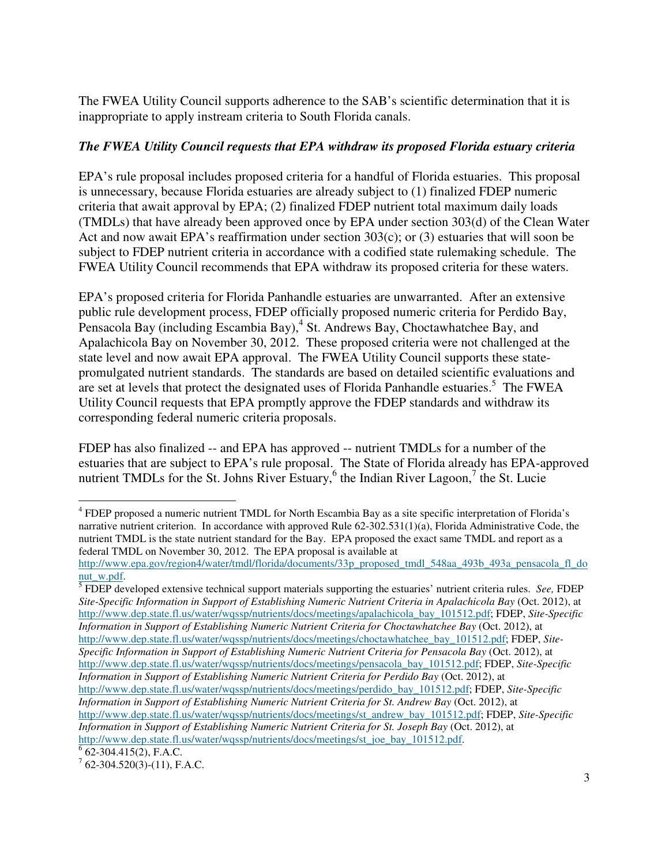The FWEA Utility Council supports adherence to the SAB's scientific determination that it is inappropriate to apply instream criteria to South Florida canals.

## *The FWEA Utility Council requests that EPA withdraw its proposed Florida estuary criteria*

EPA's rule proposal includes proposed criteria for a handful of Florida estuaries. This proposal is unnecessary, because Florida estuaries are already subject to (1) finalized FDEP numeric criteria that await approval by EPA; (2) finalized FDEP nutrient total maximum daily loads (TMDLs) that have already been approved once by EPA under section 303(d) of the Clean Water Act and now await EPA's reaffirmation under section  $303(c)$ ; or (3) estuaries that will soon be subject to FDEP nutrient criteria in accordance with a codified state rulemaking schedule. The FWEA Utility Council recommends that EPA withdraw its proposed criteria for these waters.

EPA's proposed criteria for Florida Panhandle estuaries are unwarranted. After an extensive public rule development process, FDEP officially proposed numeric criteria for Perdido Bay, Pensacola Bay (including Escambia Bay),<sup>4</sup> St. Andrews Bay, Choctawhatchee Bay, and Apalachicola Bay on November 30, 2012. These proposed criteria were not challenged at the state level and now await EPA approval. The FWEA Utility Council supports these statepromulgated nutrient standards. The standards are based on detailed scientific evaluations and are set at levels that protect the designated uses of Florida Panhandle estuaries.<sup>5</sup> The FWEA Utility Council requests that EPA promptly approve the FDEP standards and withdraw its corresponding federal numeric criteria proposals.

FDEP has also finalized -- and EPA has approved -- nutrient TMDLs for a number of the estuaries that are subject to EPA's rule proposal. The State of Florida already has EPA-approved nutrient TMDLs for the St. Johns River Estuary,  $6$  the Indian River Lagoon,  $7$  the St. Lucie

5 FDEP developed extensive technical support materials supporting the estuaries' nutrient criteria rules. *See,* FDEP *Site-Specific Information in Support of Establishing Numeric Nutrient Criteria in Apalachicola Bay* (Oct. 2012), at http://www.dep.state.fl.us/water/wqssp/nutrients/docs/meetings/apalachicola\_bay\_101512.pdf; FDEP, *Site-Specific Information in Support of Establishing Numeric Nutrient Criteria for Choctawhatchee Bay* (Oct. 2012), at http://www.dep.state.fl.us/water/wqssp/nutrients/docs/meetings/choctawhatchee\_bay\_101512.pdf; FDEP, *Site-Specific Information in Support of Establishing Numeric Nutrient Criteria for Pensacola Bay* (Oct. 2012), at http://www.dep.state.fl.us/water/wqssp/nutrients/docs/meetings/pensacola\_bay\_101512.pdf; FDEP, *Site-Specific Information in Support of Establishing Numeric Nutrient Criteria for Perdido Bay* (Oct. 2012), at http://www.dep.state.fl.us/water/wqssp/nutrients/docs/meetings/perdido\_bay\_101512.pdf; FDEP, *Site-Specific Information in Support of Establishing Numeric Nutrient Criteria for St. Andrew Bay* (Oct. 2012), at http://www.dep.state.fl.us/water/wqssp/nutrients/docs/meetings/st\_andrew\_bay\_101512.pdf; FDEP, *Site-Specific Information in Support of Establishing Numeric Nutrient Criteria for St. Joseph Bay (Oct. 2012), at* http://www.dep.state.fl.us/water/wqssp/nutrients/docs/meetings/st\_joe\_bay\_101512.pdf.

 $6$  62-304.415(2), F.A.C.

 4 FDEP proposed a numeric nutrient TMDL for North Escambia Bay as a site specific interpretation of Florida's narrative nutrient criterion. In accordance with approved Rule 62-302.531(1)(a), Florida Administrative Code, the nutrient TMDL is the state nutrient standard for the Bay. EPA proposed the exact same TMDL and report as a federal TMDL on November 30, 2012. The EPA proposal is available at

http://www.epa.gov/region4/water/tmdl/florida/documents/33p\_proposed\_tmdl\_548aa\_493b\_493a\_pensacola\_fl\_do nut\_w.pdf.

 $7^{7}$  62-304.520(3)-(11), F.A.C.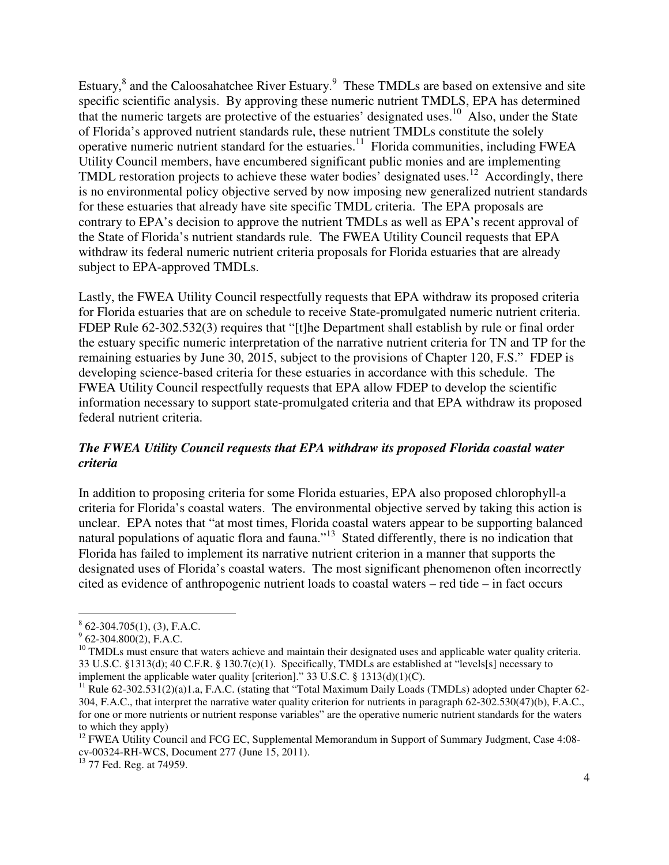Estuary,<sup>8</sup> and the Caloosahatchee River Estuary.<sup>9</sup> These TMDLs are based on extensive and site specific scientific analysis. By approving these numeric nutrient TMDLS, EPA has determined that the numeric targets are protective of the estuaries' designated uses.<sup>10</sup> Also, under the State of Florida's approved nutrient standards rule, these nutrient TMDLs constitute the solely operative numeric nutrient standard for the estuaries.<sup>11</sup> Florida communities, including FWEA Utility Council members, have encumbered significant public monies and are implementing TMDL restoration projects to achieve these water bodies' designated uses.<sup>12</sup> Accordingly, there is no environmental policy objective served by now imposing new generalized nutrient standards for these estuaries that already have site specific TMDL criteria. The EPA proposals are contrary to EPA's decision to approve the nutrient TMDLs as well as EPA's recent approval of the State of Florida's nutrient standards rule. The FWEA Utility Council requests that EPA withdraw its federal numeric nutrient criteria proposals for Florida estuaries that are already subject to EPA-approved TMDLs.

Lastly, the FWEA Utility Council respectfully requests that EPA withdraw its proposed criteria for Florida estuaries that are on schedule to receive State-promulgated numeric nutrient criteria. FDEP Rule 62-302.532(3) requires that "[t]he Department shall establish by rule or final order the estuary specific numeric interpretation of the narrative nutrient criteria for TN and TP for the remaining estuaries by June 30, 2015, subject to the provisions of Chapter 120, F.S." FDEP is developing science-based criteria for these estuaries in accordance with this schedule. The FWEA Utility Council respectfully requests that EPA allow FDEP to develop the scientific information necessary to support state-promulgated criteria and that EPA withdraw its proposed federal nutrient criteria.

#### *The FWEA Utility Council requests that EPA withdraw its proposed Florida coastal water criteria*

In addition to proposing criteria for some Florida estuaries, EPA also proposed chlorophyll-a criteria for Florida's coastal waters. The environmental objective served by taking this action is unclear. EPA notes that "at most times, Florida coastal waters appear to be supporting balanced natural populations of aquatic flora and fauna."<sup>13</sup> Stated differently, there is no indication that Florida has failed to implement its narrative nutrient criterion in a manner that supports the designated uses of Florida's coastal waters. The most significant phenomenon often incorrectly cited as evidence of anthropogenic nutrient loads to coastal waters – red tide – in fact occurs

-

 $8$  62-304.705(1), (3), F.A.C.

 $9^9$  62-304.800(2), F.A.C.

<sup>&</sup>lt;sup>10</sup> TMDLs must ensure that waters achieve and maintain their designated uses and applicable water quality criteria. 33 U.S.C. §1313(d); 40 C.F.R. § 130.7(c)(1). Specifically, TMDLs are established at "levels[s] necessary to implement the applicable water quality [criterion]." 33 U.S.C.  $\S$  1313(d)(1)(C).

<sup>&</sup>lt;sup>11</sup> Rule 62-302.531(2)(a)1.a, F.A.C. (stating that "Total Maximum Daily Loads (TMDLs) adopted under Chapter 62-304, F.A.C., that interpret the narrative water quality criterion for nutrients in paragraph 62-302.530(47)(b), F.A.C., for one or more nutrients or nutrient response variables" are the operative numeric nutrient standards for the waters to which they apply)

<sup>&</sup>lt;sup>12</sup> FWEA Utility Council and FCG EC, Supplemental Memorandum in Support of Summary Judgment, Case 4:08cv-00324-RH-WCS, Document 277 (June 15, 2011).

<sup>&</sup>lt;sup>13</sup> 77 Fed. Reg. at 74959.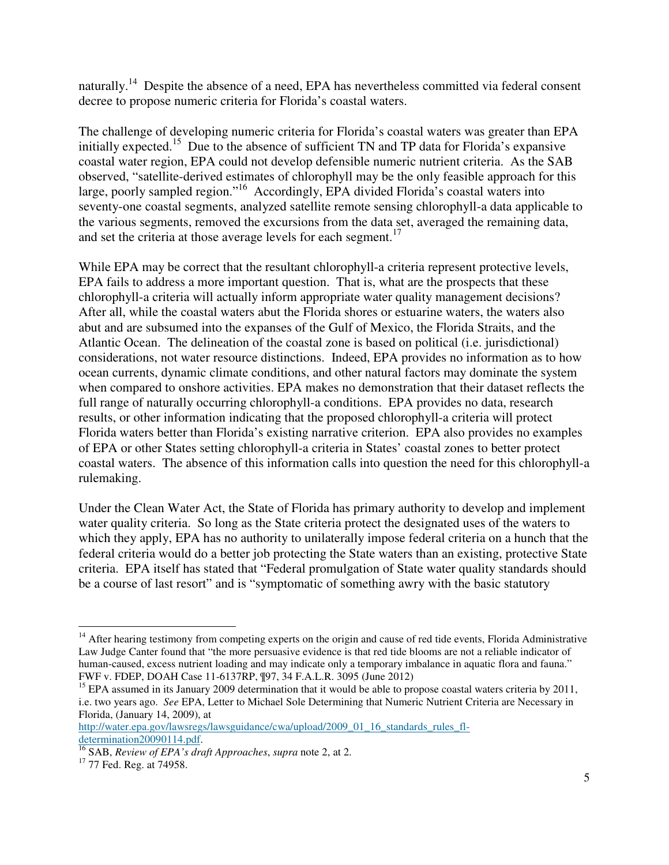naturally.<sup>14</sup> Despite the absence of a need, EPA has nevertheless committed via federal consent decree to propose numeric criteria for Florida's coastal waters.

The challenge of developing numeric criteria for Florida's coastal waters was greater than EPA initially expected.<sup>15</sup> Due to the absence of sufficient TN and TP data for Florida's expansive coastal water region, EPA could not develop defensible numeric nutrient criteria. As the SAB observed, "satellite-derived estimates of chlorophyll may be the only feasible approach for this large, poorly sampled region."<sup>16</sup> Accordingly, EPA divided Florida's coastal waters into seventy-one coastal segments, analyzed satellite remote sensing chlorophyll-a data applicable to the various segments, removed the excursions from the data set, averaged the remaining data, and set the criteria at those average levels for each segment.<sup>17</sup>

While EPA may be correct that the resultant chlorophyll-a criteria represent protective levels, EPA fails to address a more important question. That is, what are the prospects that these chlorophyll-a criteria will actually inform appropriate water quality management decisions? After all, while the coastal waters abut the Florida shores or estuarine waters, the waters also abut and are subsumed into the expanses of the Gulf of Mexico, the Florida Straits, and the Atlantic Ocean. The delineation of the coastal zone is based on political (i.e. jurisdictional) considerations, not water resource distinctions. Indeed, EPA provides no information as to how ocean currents, dynamic climate conditions, and other natural factors may dominate the system when compared to onshore activities. EPA makes no demonstration that their dataset reflects the full range of naturally occurring chlorophyll-a conditions. EPA provides no data, research results, or other information indicating that the proposed chlorophyll-a criteria will protect Florida waters better than Florida's existing narrative criterion. EPA also provides no examples of EPA or other States setting chlorophyll-a criteria in States' coastal zones to better protect coastal waters. The absence of this information calls into question the need for this chlorophyll-a rulemaking.

Under the Clean Water Act, the State of Florida has primary authority to develop and implement water quality criteria. So long as the State criteria protect the designated uses of the waters to which they apply, EPA has no authority to unilaterally impose federal criteria on a hunch that the federal criteria would do a better job protecting the State waters than an existing, protective State criteria. EPA itself has stated that "Federal promulgation of State water quality standards should be a course of last resort" and is "symptomatic of something awry with the basic statutory

http://water.epa.gov/lawsregs/lawsguidance/cwa/upload/2009\_01\_16\_standards\_rules\_fldetermination20090114.pdf.

<sup>-</sup><sup>14</sup> After hearing testimony from competing experts on the origin and cause of red tide events, Florida Administrative Law Judge Canter found that "the more persuasive evidence is that red tide blooms are not a reliable indicator of human-caused, excess nutrient loading and may indicate only a temporary imbalance in aquatic flora and fauna." FWF v. FDEP, DOAH Case 11-6137RP, ¶97, 34 F.A.L.R. 3095 (June 2012)

<sup>&</sup>lt;sup>15</sup> EPA assumed in its January 2009 determination that it would be able to propose coastal waters criteria by 2011, i.e. two years ago. *See* EPA, Letter to Michael Sole Determining that Numeric Nutrient Criteria are Necessary in Florida, (January 14, 2009), at

<sup>16</sup> SAB, *Review of EPA's draft Approaches*, *supra* note 2, at 2.

<sup>&</sup>lt;sup>17</sup> 77 Fed. Reg. at 74958.